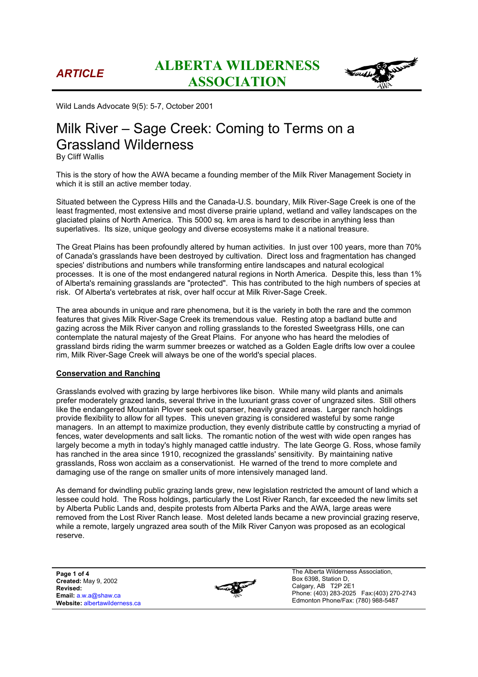

Wild Lands Advocate 9(5): 5-7, October 2001

# Milk River – Sage Creek: Coming to Terms on a Grassland Wilderness

By Cliff Wallis

This is the story of how the AWA became a founding member of the Milk River Management Society in which it is still an active member today.

Situated between the Cypress Hills and the Canada-U.S. boundary, Milk River-Sage Creek is one of the least fragmented, most extensive and most diverse prairie upland, wetland and valley landscapes on the glaciated plains of North America. This 5000 sq. km area is hard to describe in anything less than superlatives. Its size, unique geology and diverse ecosystems make it a national treasure.

The Great Plains has been profoundly altered by human activities. In just over 100 years, more than 70% of Canada's grasslands have been destroyed by cultivation. Direct loss and fragmentation has changed species' distributions and numbers while transforming entire landscapes and natural ecological processes. It is one of the most endangered natural regions in North America. Despite this, less than 1% of Alberta's remaining grasslands are "protected". This has contributed to the high numbers of species at risk. Of Alberta's vertebrates at risk, over half occur at Milk River-Sage Creek.

The area abounds in unique and rare phenomena, but it is the variety in both the rare and the common features that gives Milk River-Sage Creek its tremendous value. Resting atop a badland butte and gazing across the Milk River canyon and rolling grasslands to the forested Sweetgrass Hills, one can contemplate the natural majesty of the Great Plains. For anyone who has heard the melodies of grassland birds riding the warm summer breezes or watched as a Golden Eagle drifts low over a coulee rim, Milk River-Sage Creek will always be one of the world's special places.

### **Conservation and Ranching**

Grasslands evolved with grazing by large herbivores like bison. While many wild plants and animals prefer moderately grazed lands, several thrive in the luxuriant grass cover of ungrazed sites. Still others like the endangered Mountain Plover seek out sparser, heavily grazed areas. Larger ranch holdings provide flexibility to allow for all types. This uneven grazing is considered wasteful by some range managers. In an attempt to maximize production, they evenly distribute cattle by constructing a myriad of fences, water developments and salt licks. The romantic notion of the west with wide open ranges has largely become a myth in today's highly managed cattle industry. The late George G. Ross, whose family has ranched in the area since 1910, recognized the grasslands' sensitivity. By maintaining native grasslands, Ross won acclaim as a conservationist. He warned of the trend to more complete and damaging use of the range on smaller units of more intensively managed land.

As demand for dwindling public grazing lands grew, new legislation restricted the amount of land which a lessee could hold. The Ross holdings, particularly the Lost River Ranch, far exceeded the new limits set by Alberta Public Lands and, despite protests from Alberta Parks and the AWA, large areas were removed from the Lost River Ranch lease. Most deleted lands became a new provincial grazing reserve, while a remote, largely ungrazed area south of the Milk River Canyon was proposed as an ecological reserve.

**Page 1 of 4 Created:** May 9, 2002 **Revised: Email:** a.w.a@shaw.ca **Website:** albertawilderness.ca

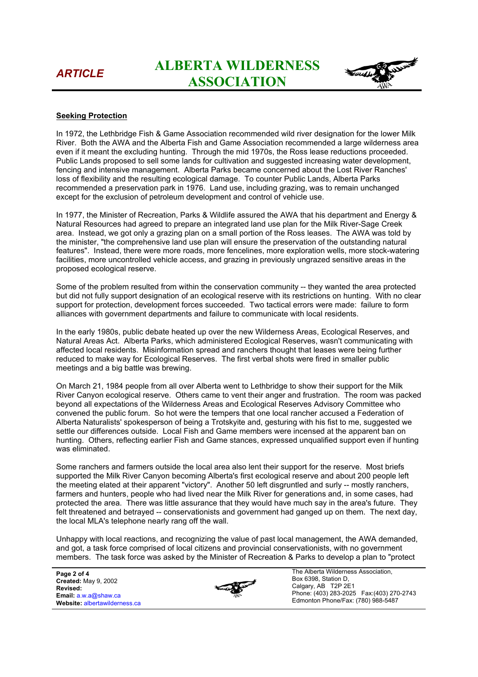## *ARTICLE* **ALBERTA WILDERNESS ASSOCIATION**



## **Seeking Protection**

In 1972, the Lethbridge Fish & Game Association recommended wild river designation for the lower Milk River. Both the AWA and the Alberta Fish and Game Association recommended a large wilderness area even if it meant the excluding hunting. Through the mid 1970s, the Ross lease reductions proceeded. Public Lands proposed to sell some lands for cultivation and suggested increasing water development, fencing and intensive management. Alberta Parks became concerned about the Lost River Ranches' loss of flexibility and the resulting ecological damage. To counter Public Lands, Alberta Parks recommended a preservation park in 1976. Land use, including grazing, was to remain unchanged except for the exclusion of petroleum development and control of vehicle use.

In 1977, the Minister of Recreation, Parks & Wildlife assured the AWA that his department and Energy & Natural Resources had agreed to prepare an integrated land use plan for the Milk River-Sage Creek area. Instead, we got only a grazing plan on a small portion of the Ross leases. The AWA was told by the minister, "the comprehensive land use plan will ensure the preservation of the outstanding natural features". Instead, there were more roads, more fencelines, more exploration wells, more stock-watering facilities, more uncontrolled vehicle access, and grazing in previously ungrazed sensitive areas in the proposed ecological reserve.

Some of the problem resulted from within the conservation community -- they wanted the area protected but did not fully support designation of an ecological reserve with its restrictions on hunting. With no clear support for protection, development forces succeeded. Two tactical errors were made: failure to form alliances with government departments and failure to communicate with local residents.

In the early 1980s, public debate heated up over the new Wilderness Areas, Ecological Reserves, and Natural Areas Act. Alberta Parks, which administered Ecological Reserves, wasn't communicating with affected local residents. Misinformation spread and ranchers thought that leases were being further reduced to make way for Ecological Reserves. The first verbal shots were fired in smaller public meetings and a big battle was brewing.

On March 21, 1984 people from all over Alberta went to Lethbridge to show their support for the Milk River Canyon ecological reserve. Others came to vent their anger and frustration. The room was packed beyond all expectations of the Wilderness Areas and Ecological Reserves Advisory Committee who convened the public forum. So hot were the tempers that one local rancher accused a Federation of Alberta Naturalists' spokesperson of being a Trotskyite and, gesturing with his fist to me, suggested we settle our differences outside. Local Fish and Game members were incensed at the apparent ban on hunting. Others, reflecting earlier Fish and Game stances, expressed unqualified support even if hunting was eliminated.

Some ranchers and farmers outside the local area also lent their support for the reserve. Most briefs supported the Milk River Canyon becoming Alberta's first ecological reserve and about 200 people left the meeting elated at their apparent "victory". Another 50 left disgruntled and surly -- mostly ranchers, farmers and hunters, people who had lived near the Milk River for generations and, in some cases, had protected the area. There was little assurance that they would have much say in the area's future. They felt threatened and betrayed -- conservationists and government had ganged up on them. The next day, the local MLA's telephone nearly rang off the wall.

Unhappy with local reactions, and recognizing the value of past local management, the AWA demanded, and got, a task force comprised of local citizens and provincial conservationists, with no government members. The task force was asked by the Minister of Recreation & Parks to develop a plan to "protect

**Page 2 of 4 Created:** May 9, 2002 **Revised: Email:** a.w.a@shaw.ca **Website:** albertawilderness.ca

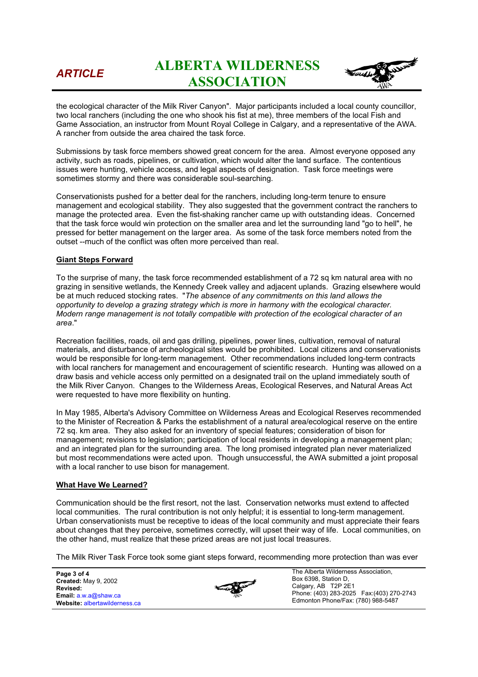## *ARTICLE* **ALBERTA WILDERNESS ASSOCIATION**



the ecological character of the Milk River Canyon". Major participants included a local county councillor, two local ranchers (including the one who shook his fist at me), three members of the local Fish and Game Association, an instructor from Mount Royal College in Calgary, and a representative of the AWA. A rancher from outside the area chaired the task force.

Submissions by task force members showed great concern for the area. Almost everyone opposed any activity, such as roads, pipelines, or cultivation, which would alter the land surface. The contentious issues were hunting, vehicle access, and legal aspects of designation. Task force meetings were sometimes stormy and there was considerable soul-searching.

Conservationists pushed for a better deal for the ranchers, including long-term tenure to ensure management and ecological stability. They also suggested that the government contract the ranchers to manage the protected area. Even the fist-shaking rancher came up with outstanding ideas. Concerned that the task force would win protection on the smaller area and let the surrounding land "go to hell", he pressed for better management on the larger area. As some of the task force members noted from the outset --much of the conflict was often more perceived than real.

### **Giant Steps Forward**

To the surprise of many, the task force recommended establishment of a 72 sq km natural area with no grazing in sensitive wetlands, the Kennedy Creek valley and adjacent uplands. Grazing elsewhere would be at much reduced stocking rates. "*The absence of any commitments on this land allows the opportunity to develop a grazing strategy which is more in harmony with the ecological character. Modern range management is not totally compatible with protection of the ecological character of an area*."

Recreation facilities, roads, oil and gas drilling, pipelines, power lines, cultivation, removal of natural materials, and disturbance of archeological sites would be prohibited. Local citizens and conservationists would be responsible for long-term management. Other recommendations included long-term contracts with local ranchers for management and encouragement of scientific research. Hunting was allowed on a draw basis and vehicle access only permitted on a designated trail on the upland immediately south of the Milk River Canyon. Changes to the Wilderness Areas, Ecological Reserves, and Natural Areas Act were requested to have more flexibility on hunting.

In May 1985, Alberta's Advisory Committee on Wilderness Areas and Ecological Reserves recommended to the Minister of Recreation & Parks the establishment of a natural area/ecological reserve on the entire 72 sq. km area. They also asked for an inventory of special features; consideration of bison for management; revisions to legislation; participation of local residents in developing a management plan; and an integrated plan for the surrounding area. The long promised integrated plan never materialized but most recommendations were acted upon. Though unsuccessful, the AWA submitted a joint proposal with a local rancher to use bison for management.

### **What Have We Learned?**

Communication should be the first resort, not the last. Conservation networks must extend to affected local communities. The rural contribution is not only helpful; it is essential to long-term management. Urban conservationists must be receptive to ideas of the local community and must appreciate their fears about changes that they perceive, sometimes correctly, will upset their way of life. Local communities, on the other hand, must realize that these prized areas are not just local treasures.

The Milk River Task Force took some giant steps forward, recommending more protection than was ever

**Page 3 of 4 Created:** May 9, 2002 **Revised: Email:** a.w.a@shaw.ca **Website:** albertawilderness.ca